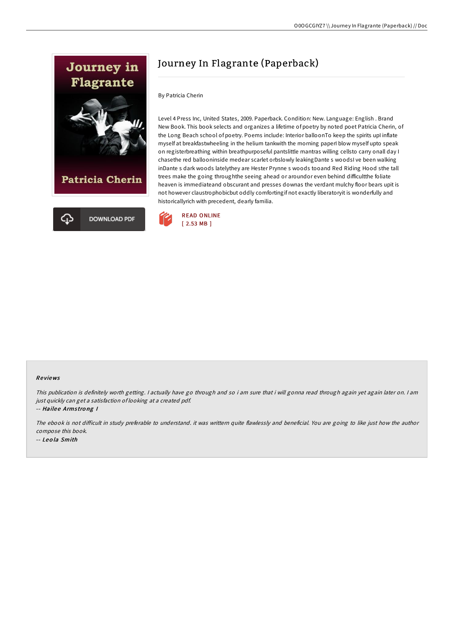

# Journey In Flagrante (Paperback)

#### By Patricia Cherin

Level 4 Press Inc, United States, 2009. Paperback. Condition: New. Language: English . Brand New Book. This book selects and organizes a lifetime of poetry by noted poet Patricia Cherin, of the Long Beach school of poetry. Poems include: Interior balloonTo keep the spirits upI inflate myself at breakfastwheeling in the helium tankwith the morning paperI blow myself upto speak on registerbreathing within breathpurposeful pantslittle mantras willing cellsto carry onall day I chasethe red ballooninside medear scarlet orbslowly leakingDante s woodsI ve been walking inDante s dark woods latelythey are Hester Prynne s woods tooand Red Riding Hood sthe tall trees make the going throughthe seeing ahead or aroundor even behind difficultthe foliate heaven is immediateand obscurant and presses downas the verdant mulchy floor bears upit is not however claustrophobicbut oddly comfortingif not exactly liberatoryit is wonderfully and historicallyrich with precedent, dearly familia.



## Re views

This publication is definitely worth getting. <sup>I</sup> actually have go through and so i am sure that i will gonna read through again yet again later on. <sup>I</sup> am just quickly can get <sup>a</sup> satisfaction of looking at <sup>a</sup> created pdf. -- Hailee Armstrong I

The ebook is not difficult in study preferable to understand. it was writtern quite flawlessly and beneficial. You are going to like just how the author compose this book. -- Leo la Smith